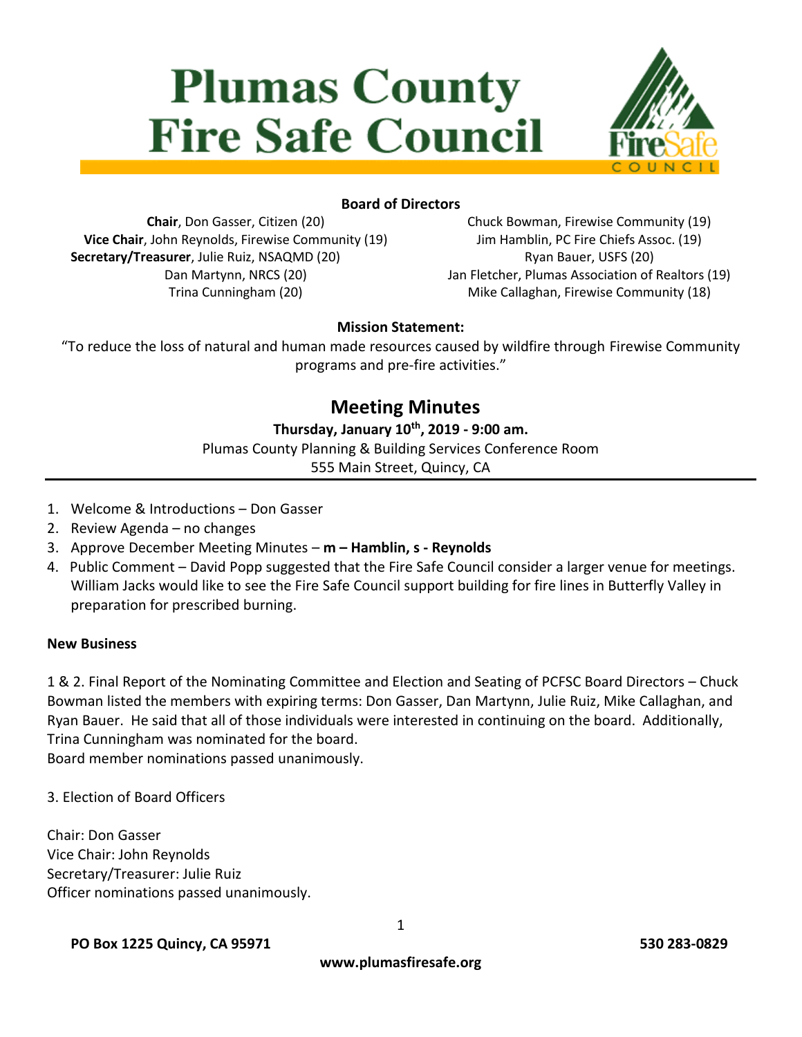# **Plumas County Fire Safe Council**



#### **Board of Directors**

**Chair**, Don Gasser, Citizen (20) **Vice Chair**, John Reynolds, Firewise Community (19) **Secretary/Treasurer**, Julie Ruiz, NSAQMD (20) Dan Martynn, NRCS (20) Trina Cunningham (20)

Chuck Bowman, Firewise Community (19) Jim Hamblin, PC Fire Chiefs Assoc. (19) Ryan Bauer, USFS (20) Jan Fletcher, Plumas Association of Realtors (19) Mike Callaghan, Firewise Community (18)

#### **Mission Statement:**

"To reduce the loss of natural and human made resources caused by wildfire through Firewise Community programs and pre-fire activities."

# **Meeting Minutes**

#### **Thursday, January 10th, 2019 - 9:00 am.**

Plumas County Planning & Building Services Conference Room

555 Main Street, Quincy, CA

- 1. Welcome & Introductions Don Gasser
- 2. Review Agenda no changes
- 3. Approve December Meeting Minutes **m – Hamblin, s - Reynolds**
- 4. Public Comment David Popp suggested that the Fire Safe Council consider a larger venue for meetings. William Jacks would like to see the Fire Safe Council support building for fire lines in Butterfly Valley in preparation for prescribed burning.

#### **New Business**

1 & 2. Final Report of the Nominating Committee and Election and Seating of PCFSC Board Directors – Chuck Bowman listed the members with expiring terms: Don Gasser, Dan Martynn, Julie Ruiz, Mike Callaghan, and Ryan Bauer. He said that all of those individuals were interested in continuing on the board. Additionally, Trina Cunningham was nominated for the board.

Board member nominations passed unanimously.

3. Election of Board Officers

Chair: Don Gasser Vice Chair: John Reynolds Secretary/Treasurer: Julie Ruiz Officer nominations passed unanimously.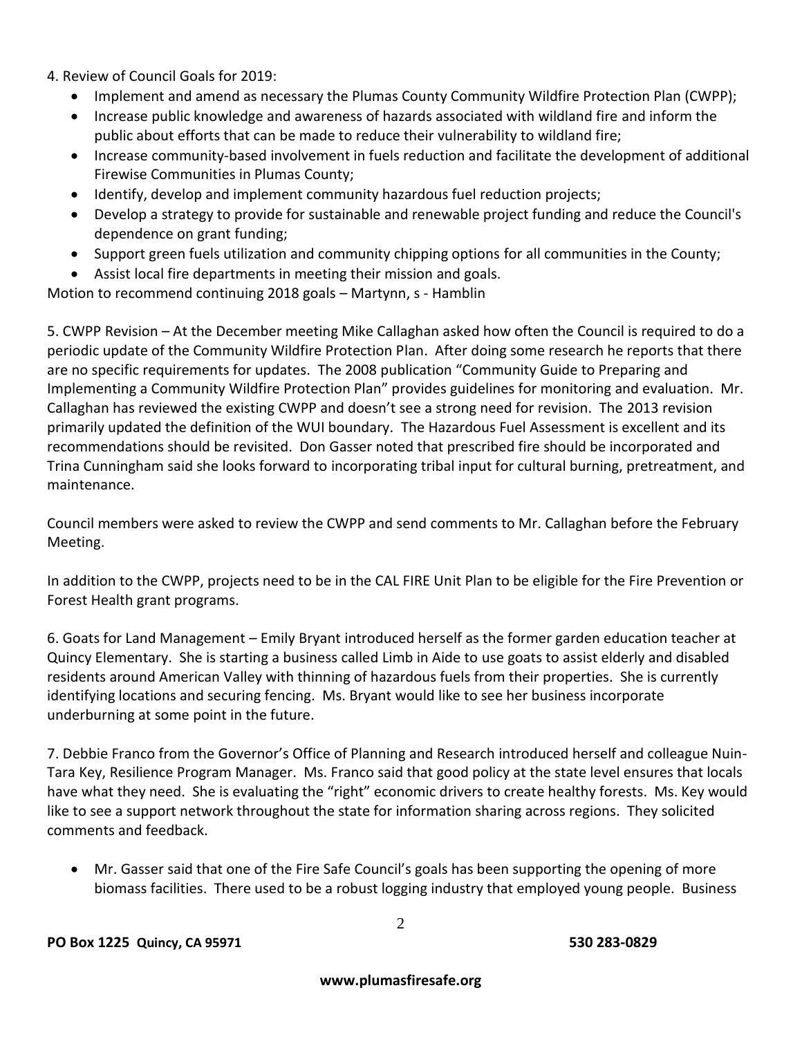4. Review of Council Goals for 2019:

- Implement and amend as necessary the Plumas County Community Wildfire Protection Plan (CWPP);
- Increase public knowledge and awareness of hazards associated with wildland fire and inform the public about efforts that can be made to reduce their vulnerability to wildland fire;
- Increase community-based involvement in fuels reduction and facilitate the development of additional Firewise Communities in Plumas County;
- Identify, develop and implement community hazardous fuel reduction projects;
- Develop a strategy to provide for sustainable and renewable project funding and reduce the Council's dependence on grant funding;
- Support green fuels utilization and community chipping options for all communities in the County;
- Assist local fire departments in meeting their mission and goals.

Motion to recommend continuing 2018 goals – Martynn, s - Hamblin

5. CWPP Revision – At the December meeting Mike Callaghan asked how often the Council is required to do a periodic update of the Community Wildfire Protection Plan. After doing some research he reports that there are no specific requirements for updates. The 2008 publication "Community Guide to Preparing and Implementing a Community Wildfire Protection Plan" provides guidelines for monitoring and evaluation. Mr. Callaghan has reviewed the existing CWPP and doesn't see a strong need for revision. The 2013 revision primarily updated the definition of the WUI boundary. The Hazardous Fuel Assessment is excellent and its recommendations should be revisited. Don Gasser noted that prescribed fire should be incorporated and Trina Cunningham said she looks forward to incorporating tribal input for cultural burning, pretreatment, and maintenance.

Council members were asked to review the CWPP and send comments to Mr. Callaghan before the February Meeting.

In addition to the CWPP, projects need to be in the CAL FIRE Unit Plan to be eligible for the Fire Prevention or Forest Health grant programs.

6. Goats for Land Management – Emily Bryant introduced herself as the former garden education teacher at Quincy Elementary. She is starting a business called Limb in Aide to use goats to assist elderly and disabled residents around American Valley with thinning of hazardous fuels from their properties. She is currently identifying locations and securing fencing. Ms. Bryant would like to see her business incorporate underburning at some point in the future.

7. Debbie Franco from the Governor's Office of Planning and Research introduced herself and colleague Nuin-Tara Key, Resilience Program Manager. Ms. Franco said that good policy at the state level ensures that locals have what they need. She is evaluating the "right" economic drivers to create healthy forests. Ms. Key would like to see a support network throughout the state for information sharing across regions. They solicited comments and feedback.

 Mr. Gasser said that one of the Fire Safe Council's goals has been supporting the opening of more biomass facilities. There used to be a robust logging industry that employed young people. Business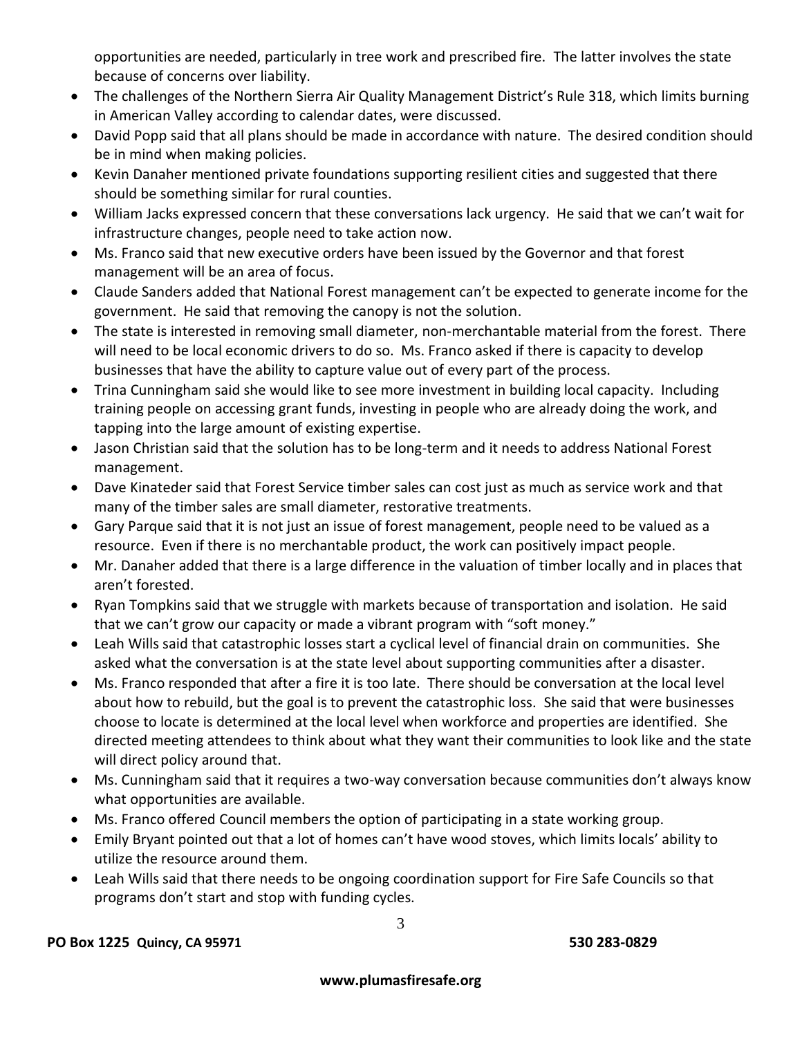opportunities are needed, particularly in tree work and prescribed fire. The latter involves the state because of concerns over liability.

- The challenges of the Northern Sierra Air Quality Management District's Rule 318, which limits burning in American Valley according to calendar dates, were discussed.
- David Popp said that all plans should be made in accordance with nature. The desired condition should be in mind when making policies.
- Kevin Danaher mentioned private foundations supporting resilient cities and suggested that there should be something similar for rural counties.
- William Jacks expressed concern that these conversations lack urgency. He said that we can't wait for infrastructure changes, people need to take action now.
- Ms. Franco said that new executive orders have been issued by the Governor and that forest management will be an area of focus.
- Claude Sanders added that National Forest management can't be expected to generate income for the government. He said that removing the canopy is not the solution.
- The state is interested in removing small diameter, non-merchantable material from the forest. There will need to be local economic drivers to do so. Ms. Franco asked if there is capacity to develop businesses that have the ability to capture value out of every part of the process.
- Trina Cunningham said she would like to see more investment in building local capacity. Including training people on accessing grant funds, investing in people who are already doing the work, and tapping into the large amount of existing expertise.
- Jason Christian said that the solution has to be long-term and it needs to address National Forest management.
- Dave Kinateder said that Forest Service timber sales can cost just as much as service work and that many of the timber sales are small diameter, restorative treatments.
- Gary Parque said that it is not just an issue of forest management, people need to be valued as a resource. Even if there is no merchantable product, the work can positively impact people.
- Mr. Danaher added that there is a large difference in the valuation of timber locally and in places that aren't forested.
- Ryan Tompkins said that we struggle with markets because of transportation and isolation. He said that we can't grow our capacity or made a vibrant program with "soft money."
- Leah Wills said that catastrophic losses start a cyclical level of financial drain on communities. She asked what the conversation is at the state level about supporting communities after a disaster.
- Ms. Franco responded that after a fire it is too late. There should be conversation at the local level about how to rebuild, but the goal is to prevent the catastrophic loss. She said that were businesses choose to locate is determined at the local level when workforce and properties are identified. She directed meeting attendees to think about what they want their communities to look like and the state will direct policy around that.
- Ms. Cunningham said that it requires a two-way conversation because communities don't always know what opportunities are available.
- Ms. Franco offered Council members the option of participating in a state working group.
- Emily Bryant pointed out that a lot of homes can't have wood stoves, which limits locals' ability to utilize the resource around them.
- Leah Wills said that there needs to be ongoing coordination support for Fire Safe Councils so that programs don't start and stop with funding cycles.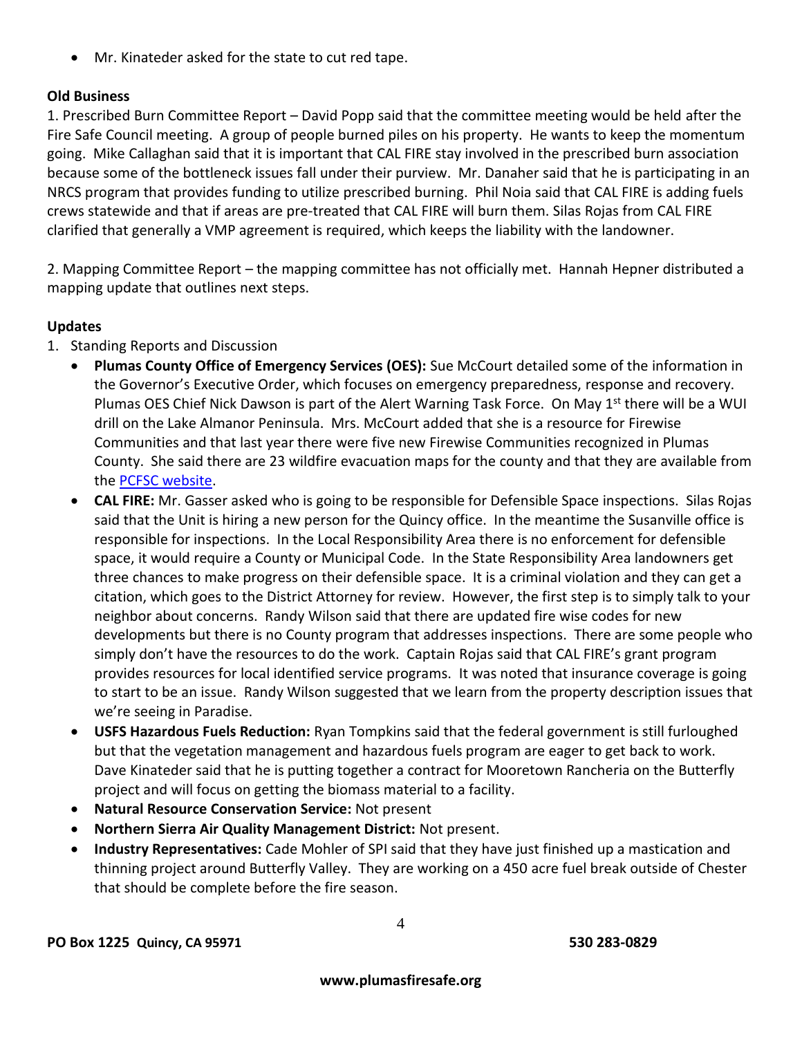Mr. Kinateder asked for the state to cut red tape.

### **Old Business**

1. Prescribed Burn Committee Report – David Popp said that the committee meeting would be held after the Fire Safe Council meeting. A group of people burned piles on his property. He wants to keep the momentum going. Mike Callaghan said that it is important that CAL FIRE stay involved in the prescribed burn association because some of the bottleneck issues fall under their purview. Mr. Danaher said that he is participating in an NRCS program that provides funding to utilize prescribed burning. Phil Noia said that CAL FIRE is adding fuels crews statewide and that if areas are pre-treated that CAL FIRE will burn them. Silas Rojas from CAL FIRE clarified that generally a VMP agreement is required, which keeps the liability with the landowner.

2. Mapping Committee Report – the mapping committee has not officially met. Hannah Hepner distributed a mapping update that outlines next steps.

#### **Updates**

- 1. Standing Reports and Discussion
	- **Plumas County Office of Emergency Services (OES):** Sue McCourt detailed some of the information in the Governor's Executive Order, which focuses on emergency preparedness, response and recovery. Plumas OES Chief Nick Dawson is part of the Alert Warning Task Force. On May 1<sup>st</sup> there will be a WUI drill on the Lake Almanor Peninsula. Mrs. McCourt added that she is a resource for Firewise Communities and that last year there were five new Firewise Communities recognized in Plumas County. She said there are 23 wildfire evacuation maps for the county and that they are available from the [PCFSC website.](https://www.plumasfiresafe.org/wildfire-evacuation.html)
	- **CAL FIRE:** Mr. Gasser asked who is going to be responsible for Defensible Space inspections. Silas Rojas said that the Unit is hiring a new person for the Quincy office. In the meantime the Susanville office is responsible for inspections. In the Local Responsibility Area there is no enforcement for defensible space, it would require a County or Municipal Code. In the State Responsibility Area landowners get three chances to make progress on their defensible space. It is a criminal violation and they can get a citation, which goes to the District Attorney for review. However, the first step is to simply talk to your neighbor about concerns. Randy Wilson said that there are updated fire wise codes for new developments but there is no County program that addresses inspections. There are some people who simply don't have the resources to do the work. Captain Rojas said that CAL FIRE's grant program provides resources for local identified service programs. It was noted that insurance coverage is going to start to be an issue. Randy Wilson suggested that we learn from the property description issues that we're seeing in Paradise.
	- **USFS Hazardous Fuels Reduction:** Ryan Tompkins said that the federal government is still furloughed but that the vegetation management and hazardous fuels program are eager to get back to work. Dave Kinateder said that he is putting together a contract for Mooretown Rancheria on the Butterfly project and will focus on getting the biomass material to a facility.
	- **Natural Resource Conservation Service:** Not present
	- **Northern Sierra Air Quality Management District:** Not present.
	- **Industry Representatives:** Cade Mohler of SPI said that they have just finished up a mastication and thinning project around Butterfly Valley. They are working on a 450 acre fuel break outside of Chester that should be complete before the fire season.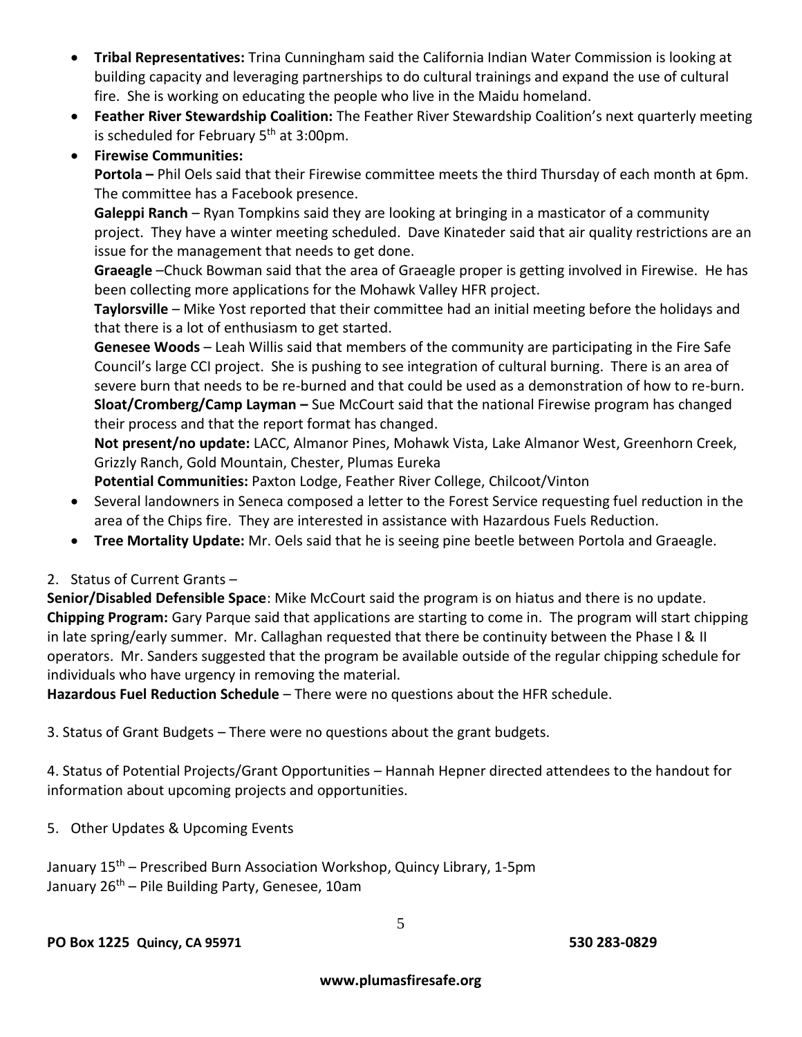- **Tribal Representatives:** Trina Cunningham said the California Indian Water Commission is looking at building capacity and leveraging partnerships to do cultural trainings and expand the use of cultural fire. She is working on educating the people who live in the Maidu homeland.
- **Feather River Stewardship Coalition:** The Feather River Stewardship Coalition's next quarterly meeting is scheduled for February  $5<sup>th</sup>$  at 3:00pm.
- **Firewise Communities:**

**Portola –** Phil Oels said that their Firewise committee meets the third Thursday of each month at 6pm. The committee has a Facebook presence.

**Galeppi Ranch** – Ryan Tompkins said they are looking at bringing in a masticator of a community project. They have a winter meeting scheduled. Dave Kinateder said that air quality restrictions are an issue for the management that needs to get done.

**Graeagle** –Chuck Bowman said that the area of Graeagle proper is getting involved in Firewise. He has been collecting more applications for the Mohawk Valley HFR project.

**Taylorsville** – Mike Yost reported that their committee had an initial meeting before the holidays and that there is a lot of enthusiasm to get started.

**Genesee Woods** – Leah Willis said that members of the community are participating in the Fire Safe Council's large CCI project. She is pushing to see integration of cultural burning. There is an area of severe burn that needs to be re-burned and that could be used as a demonstration of how to re-burn. **Sloat/Cromberg/Camp Layman –** Sue McCourt said that the national Firewise program has changed their process and that the report format has changed.

**Not present/no update:** LACC, Almanor Pines, Mohawk Vista, Lake Almanor West, Greenhorn Creek, Grizzly Ranch, Gold Mountain, Chester, Plumas Eureka

**Potential Communities:** Paxton Lodge, Feather River College, Chilcoot/Vinton

- Several landowners in Seneca composed a letter to the Forest Service requesting fuel reduction in the area of the Chips fire. They are interested in assistance with Hazardous Fuels Reduction.
- **Tree Mortality Update:** Mr. Oels said that he is seeing pine beetle between Portola and Graeagle.

## 2. Status of Current Grants –

**Senior/Disabled Defensible Space**: Mike McCourt said the program is on hiatus and there is no update. **Chipping Program:** Gary Parque said that applications are starting to come in. The program will start chipping in late spring/early summer. Mr. Callaghan requested that there be continuity between the Phase I & II operators. Mr. Sanders suggested that the program be available outside of the regular chipping schedule for individuals who have urgency in removing the material.

**Hazardous Fuel Reduction Schedule** – There were no questions about the HFR schedule.

3. Status of Grant Budgets – There were no questions about the grant budgets.

4. Status of Potential Projects/Grant Opportunities – Hannah Hepner directed attendees to the handout for information about upcoming projects and opportunities.

5. Other Updates & Upcoming Events

January 15<sup>th</sup> – Prescribed Burn Association Workshop, Quincy Library, 1-5pm January 26<sup>th</sup> – Pile Building Party, Genesee, 10am